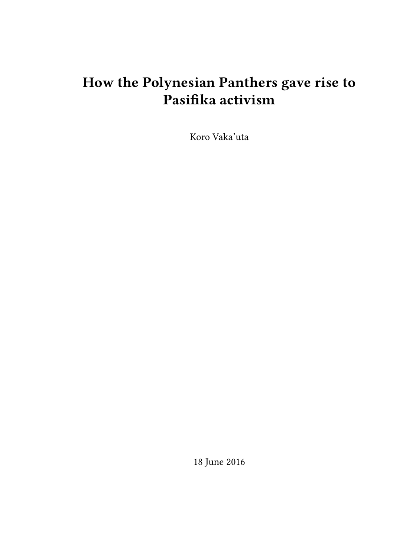# **How the Polynesian Panthers gave rise to Pasifika activism**

Koro Vaka'uta

18 June 2016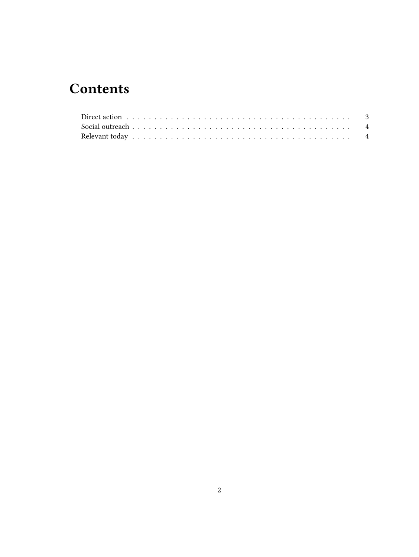## **Contents**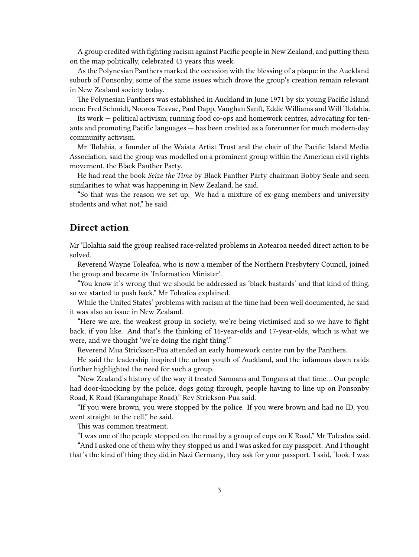A group credited with fighting racism against Pacific people in New Zealand, and putting them on the map politically, celebrated 45 years this week.

As the Polynesian Panthers marked the occasion with the blessing of a plaque in the Auckland suburb of Ponsonby, some of the same issues which drove the group's creation remain relevant in New Zealand society today.

The Polynesian Panthers was established in Auckland in June 1971 by six young Pacific Island men: Fred Schmidt, Nooroa Teavae, Paul Dapp, Vaughan Sanft, Eddie Williams and Will 'Ilolahia.

Its work — political activism, running food co-ops and homework centres, advocating for tenants and promoting Pacific languages — has been credited as a forerunner for much modern-day community activism.

Mr 'Ilolahia, a founder of the Waiata Artist Trust and the chair of the Pacific Island Media Association, said the group was modelled on a prominent group within the American civil rights movement, the Black Panther Party.

He had read the book *Seize the Time* by Black Panther Party chairman Bobby Seale and seen similarities to what was happening in New Zealand, he said.

"So that was the reason we set up. We had a mixture of ex-gang members and university students and what not," he said.

#### <span id="page-2-0"></span>**Direct action**

Mr 'Ilolahia said the group realised race-related problems in Aotearoa needed direct action to be solved.

Reverend Wayne Toleafoa, who is now a member of the Northern Presbytery Council, joined the group and became its 'Information Minister'.

"You know it's wrong that we should be addressed as 'black bastards' and that kind of thing, so we started to push back," Mr Toleafoa explained.

While the United States' problems with racism at the time had been well documented, he said it was also an issue in New Zealand.

"Here we are, the weakest group in society, we're being victimised and so we have to fight back, if you like. And that's the thinking of 16-year-olds and 17-year-olds, which is what we were, and we thought 'we're doing the right thing'."

Reverend Mua Strickson-Pua attended an early homework centre run by the Panthers.

He said the leadership inspired the urban youth of Auckland, and the infamous dawn raids further highlighted the need for such a group.

"New Zealand's history of the way it treated Samoans and Tongans at that time… Our people had door-knocking by the police, dogs going through, people having to line up on Ponsonby Road, K Road (Karangahape Road)," Rev Strickson-Pua said.

"If you were brown, you were stopped by the police. If you were brown and had no ID, you went straight to the cell," he said.

This was common treatment.

"I was one of the people stopped on the road by a group of cops on K Road," Mr Toleafoa said.

"And I asked one of them why they stopped us and I was asked for my passport. And I thought that's the kind of thing they did in Nazi Germany, they ask for your passport. I said, 'look, I was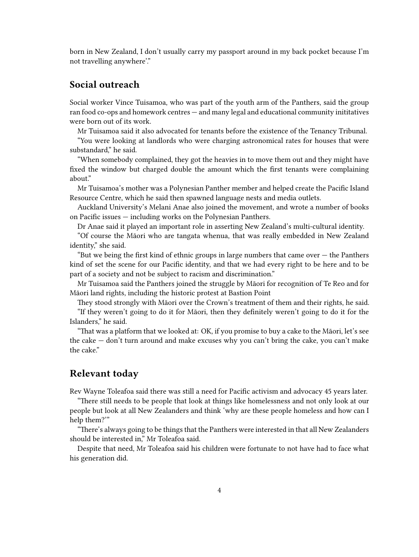born in New Zealand, I don't usually carry my passport around in my back pocket because I'm not travelling anywhere'."

### <span id="page-3-0"></span>**Social outreach**

Social worker Vince Tuisamoa, who was part of the youth arm of the Panthers, said the group ran food co-ops and homework centres — and many legal and educational community inititatives were born out of its work.

Mr Tuisamoa said it also advocated for tenants before the existence of the Tenancy Tribunal.

"You were looking at landlords who were charging astronomical rates for houses that were substandard," he said.

"When somebody complained, they got the heavies in to move them out and they might have fixed the window but charged double the amount which the first tenants were complaining about."

Mr Tuisamoa's mother was a Polynesian Panther member and helped create the Pacific Island Resource Centre, which he said then spawned language nests and media outlets.

Auckland University's Melani Anae also joined the movement, and wrote a number of books on Pacific issues — including works on the Polynesian Panthers.

Dr Anae said it played an important role in asserting New Zealand's multi-cultural identity.

"Of course the Māori who are tangata whenua, that was really embedded in New Zealand identity," she said.

"But we being the first kind of ethnic groups in large numbers that came over  $-$  the Panthers kind of set the scene for our Pacific identity, and that we had every right to be here and to be part of a society and not be subject to racism and discrimination."

Mr Tuisamoa said the Panthers joined the struggle by Māori for recognition of Te Reo and for Māori land rights, including the historic protest at Bastion Point

They stood strongly with Māori over the Crown's treatment of them and their rights, he said. "If they weren't going to do it for Māori, then they definitely weren't going to do it for the Islanders," he said.

"That was a platform that we looked at: OK, if you promise to buy a cake to the Māori, let's see the cake — don't turn around and make excuses why you can't bring the cake, you can't make the cake."

#### <span id="page-3-1"></span>**Relevant today**

Rev Wayne Toleafoa said there was still a need for Pacific activism and advocacy 45 years later.

"There still needs to be people that look at things like homelessness and not only look at our people but look at all New Zealanders and think 'why are these people homeless and how can I help them?'"

"There's always going to be things that the Panthers were interested in that all New Zealanders should be interested in," Mr Toleafoa said.

Despite that need, Mr Toleafoa said his children were fortunate to not have had to face what his generation did.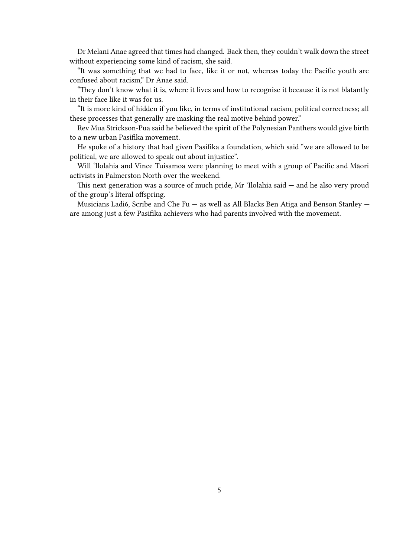Dr Melani Anae agreed that times had changed. Back then, they couldn't walk down the street without experiencing some kind of racism, she said.

"It was something that we had to face, like it or not, whereas today the Pacific youth are confused about racism," Dr Anae said.

"They don't know what it is, where it lives and how to recognise it because it is not blatantly in their face like it was for us.

"It is more kind of hidden if you like, in terms of institutional racism, political correctness; all these processes that generally are masking the real motive behind power."

Rev Mua Strickson-Pua said he believed the spirit of the Polynesian Panthers would give birth to a new urban Pasifika movement.

He spoke of a history that had given Pasifika a foundation, which said "we are allowed to be political, we are allowed to speak out about injustice".

Will 'Ilolahia and Vince Tuisamoa were planning to meet with a group of Pacific and Māori activists in Palmerston North over the weekend.

This next generation was a source of much pride, Mr 'Ilolahia said — and he also very proud of the group's literal offspring.

Musicians Ladi6, Scribe and Che Fu — as well as All Blacks Ben Atiga and Benson Stanley are among just a few Pasifika achievers who had parents involved with the movement.